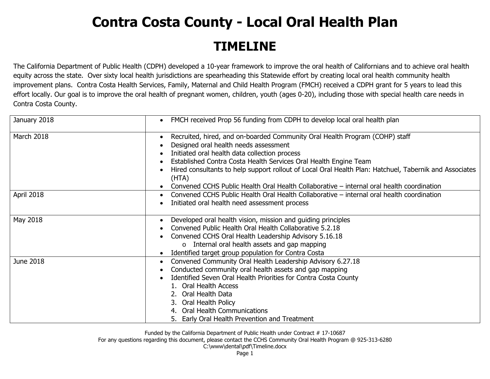## **Contra Costa County - Local Oral Health Plan TIMELINE**

The California Department of Public Health (CDPH) developed a 10-year framework to improve the oral health of Californians and to achieve oral health equity across the state. Over sixty local health jurisdictions are spearheading this Statewide effort by creating local oral health community health improvement plans. Contra Costa Health Services, Family, Maternal and Child Health Program (FMCH) received a CDPH grant for 5 years to lead this effort locally. Our goal is to improve the oral health of pregnant women, children, youth (ages 0-20), including those with special health care needs in Contra Costa County.

| January 2018 | FMCH received Prop 56 funding from CDPH to develop local oral health plan<br>$\bullet$                                                                                                                                                                                                                                                                                                                                                                    |
|--------------|-----------------------------------------------------------------------------------------------------------------------------------------------------------------------------------------------------------------------------------------------------------------------------------------------------------------------------------------------------------------------------------------------------------------------------------------------------------|
| March 2018   | Recruited, hired, and on-boarded Community Oral Health Program (COHP) staff<br>Designed oral health needs assessment<br>Initiated oral health data collection process<br>Established Contra Costa Health Services Oral Health Engine Team<br>Hired consultants to help support rollout of Local Oral Health Plan: Hatchuel, Tabernik and Associates<br>(HTA)<br>Convened CCHS Public Health Oral Health Collaborative - internal oral health coordination |
| April 2018   | Convened CCHS Public Health Oral Health Collaborative – internal oral health coordination<br>Initiated oral health need assessment process                                                                                                                                                                                                                                                                                                                |
| May 2018     | Developed oral health vision, mission and guiding principles<br>Convened Public Health Oral Health Collaborative 5.2.18<br>Convened CCHS Oral Health Leadership Advisory 5.16.18<br>Internal oral health assets and gap mapping<br>$\circ$<br>Identified target group population for Contra Costa                                                                                                                                                         |
| June 2018    | Convened Community Oral Health Leadership Advisory 6.27.18<br>Conducted community oral health assets and gap mapping<br>Identified Seven Oral Health Priorities for Contra Costa County<br>1. Oral Health Access<br>2. Oral Health Data<br>3. Oral Health Policy<br>4. Oral Health Communications<br>5. Early Oral Health Prevention and Treatment                                                                                                        |

Funded by the California Department of Public Health under Contract # 17-10687

For any questions regarding this document, please contact the CCHS Community Oral Health Program @ 925-313-6280

C:\www\dental\pdf\Timeline.docx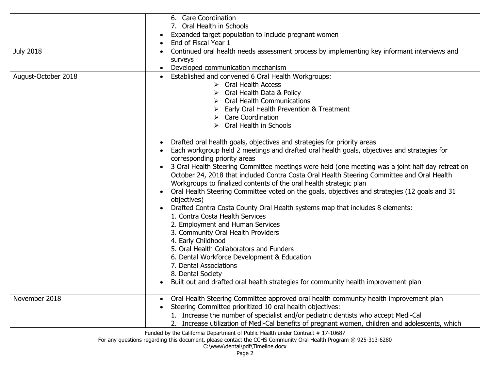|                     | 6. Care Coordination<br>7. Oral Health in Schools                                                                                                                                                                                                                                                                                                                                                                                                                                                                                                                                                                                                                                                                                                                                                                                                                                                                                                                                                                                                                                                                                                                                                                                                                                                                                                        |
|---------------------|----------------------------------------------------------------------------------------------------------------------------------------------------------------------------------------------------------------------------------------------------------------------------------------------------------------------------------------------------------------------------------------------------------------------------------------------------------------------------------------------------------------------------------------------------------------------------------------------------------------------------------------------------------------------------------------------------------------------------------------------------------------------------------------------------------------------------------------------------------------------------------------------------------------------------------------------------------------------------------------------------------------------------------------------------------------------------------------------------------------------------------------------------------------------------------------------------------------------------------------------------------------------------------------------------------------------------------------------------------|
|                     | Expanded target population to include pregnant women<br>End of Fiscal Year 1                                                                                                                                                                                                                                                                                                                                                                                                                                                                                                                                                                                                                                                                                                                                                                                                                                                                                                                                                                                                                                                                                                                                                                                                                                                                             |
| <b>July 2018</b>    | Continued oral health needs assessment process by implementing key informant interviews and<br>$\bullet$<br>surveys<br>Developed communication mechanism<br>$\bullet$                                                                                                                                                                                                                                                                                                                                                                                                                                                                                                                                                                                                                                                                                                                                                                                                                                                                                                                                                                                                                                                                                                                                                                                    |
| August-October 2018 | Established and convened 6 Oral Health Workgroups:<br>$\triangleright$ Oral Health Access<br>Oral Health Data & Policy<br>$\triangleright$ Oral Health Communications<br>Early Oral Health Prevention & Treatment<br>$\triangleright$ Care Coordination<br>$\triangleright$ Oral Health in Schools<br>Drafted oral health goals, objectives and strategies for priority areas<br>Each workgroup held 2 meetings and drafted oral health goals, objectives and strategies for<br>corresponding priority areas<br>3 Oral Health Steering Committee meetings were held (one meeting was a joint half day retreat on<br>October 24, 2018 that included Contra Costa Oral Health Steering Committee and Oral Health<br>Workgroups to finalized contents of the oral health strategic plan<br>Oral Health Steering Committee voted on the goals, objectives and strategies (12 goals and 31<br>objectives)<br>Drafted Contra Costa County Oral Health systems map that includes 8 elements:<br>1. Contra Costa Health Services<br>2. Employment and Human Services<br>3. Community Oral Health Providers<br>4. Early Childhood<br>5. Oral Health Collaborators and Funders<br>6. Dental Workforce Development & Education<br>7. Dental Associations<br>8. Dental Society<br>Built out and drafted oral health strategies for community health improvement plan |
| November 2018       | Oral Health Steering Committee approved oral health community health improvement plan<br>$\bullet$<br>Steering Committee prioritized 10 oral health objectives:<br>1. Increase the number of specialist and/or pediatric dentists who accept Medi-Cal<br>2. Increase utilization of Medi-Cal benefits of pregnant women, children and adolescents, which                                                                                                                                                                                                                                                                                                                                                                                                                                                                                                                                                                                                                                                                                                                                                                                                                                                                                                                                                                                                 |

Funded by the California Department of Public Health under Contract # 17-10687

For any questions regarding this document, please contact the CCHS Community Oral Health Program @ 925-313-6280

C:\www\dental\pdf\Timeline.docx